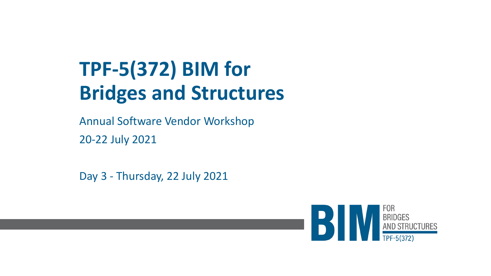# **TPF-5(372) BIM for Bridges and Structures**

Annual Software Vendor Workshop 20-22 July 2021

Day 3 - Thursday, 22 July 2021

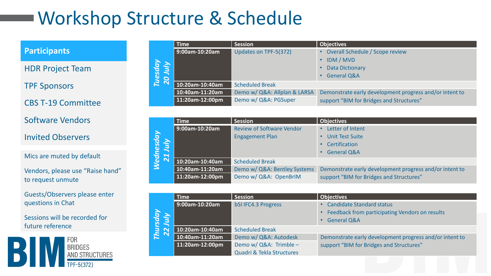# Workshop Structure & Schedule

#### **Participants**

HDR Project Team

TPF Sponsors

CBS T-19 Committee

#### Software Vendors

#### Invited Observers

#### Mics are muted by default

Vendors, please use "Raise hand" to request unmute

Guests/Observers please enter questions in Chat

Sessions will be recorded for future reference



|                    | $\sf{Time}^+$   | <b>Session</b>               | <b>Objectives</b>                                       |
|--------------------|-----------------|------------------------------|---------------------------------------------------------|
| Tuesday<br>20 July | 9:00am-10:20am  | Updates on TPF-5(372)        | Overall Schedule / Scope review                         |
|                    |                 |                              | <b>IDM / MVD</b>                                        |
|                    |                 |                              | <b>Data Dictionary</b>                                  |
|                    |                 |                              | <b>General Q&amp;A</b>                                  |
|                    | 10:20am-10:40am | <b>Scheduled Break</b>       |                                                         |
|                    | 10:40am-11:20am | Demo w/ Q&A: Allplan & LARSA | Demonstrate early development progress and/or intent to |
|                    | 11:20am-12:00pm | Demo w/ Q&A: PGSuper         | support "BIM for Bridges and Structures"                |

|                                                       | <b>Time</b>     | <b>Session</b>                   | <b>Objectives</b>                                       |
|-------------------------------------------------------|-----------------|----------------------------------|---------------------------------------------------------|
| rdnesday<br>21 July<br>$\sim$<br>$\tilde{\mathbf{e}}$ | 9:00am-10:20am  | <b>Review of Software Vendor</b> | Letter of Intent<br>$\bullet$                           |
|                                                       |                 | <b>Engagement Plan</b>           | <b>Unit Test Suite</b><br>$\bullet$                     |
|                                                       |                 |                                  | • Certification                                         |
|                                                       |                 |                                  | • General Q&A                                           |
|                                                       | 10:20am-10:40am | <b>Scheduled Break</b>           |                                                         |
|                                                       | 10:40am-11:20am | Demo w/ Q&A: Bentley Systems     | Demonstrate early development progress and/or intent to |
|                                                       | 11:20am-12:00pm | Demo w/ Q&A: OpenBrIM            | support "BIM for Bridges and Structures"                |

|                     | <b>Time</b>     | <b>Session</b>             | <b>Objectives</b>                                       |
|---------------------|-----------------|----------------------------|---------------------------------------------------------|
| Thursday<br>22 July | 9:00am-10:20am  | <b>bSI IFC4.3 Progress</b> | <b>Candidate Standard status</b>                        |
|                     |                 |                            | Feedback from participating Vendors on results          |
|                     |                 |                            | <b>General Q&amp;A</b>                                  |
|                     | 10:20am-10:40am | <b>Scheduled Break</b>     |                                                         |
|                     | 10:40am-11:20am | Demo w/ Q&A: Autodesk      | Demonstrate early development progress and/or intent to |
|                     | 11:20am-12:00pm | Demo w/ Q&A: Trimble -     | support "BIM for Bridges and Structures"                |
|                     |                 | Quadri & Tekla Structures  |                                                         |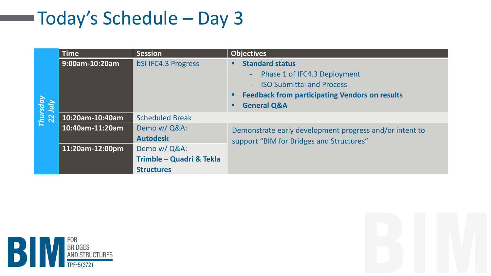## Today's Schedule – Day 3

|                     | Time            | <b>Session</b>             | <b>Objectives</b>                                                                                   |  |
|---------------------|-----------------|----------------------------|-----------------------------------------------------------------------------------------------------|--|
| Thursday<br>22 July | 9:00am-10:20am  | <b>bSI IFC4.3 Progress</b> | <b>Standard status</b><br>г                                                                         |  |
|                     |                 |                            | Phase 1 of IFC4.3 Deployment<br>$\omega_{\rm{max}}$                                                 |  |
|                     |                 |                            | <b>ISO Submittal and Process</b>                                                                    |  |
|                     |                 |                            | <b>Feedback from participating Vendors on results</b><br>٠                                          |  |
|                     |                 |                            | <b>General Q&amp;A</b><br>п                                                                         |  |
|                     | 10:20am-10:40am | <b>Scheduled Break</b>     |                                                                                                     |  |
|                     | 10:40am-11:20am | Demo w/ Q&A:               | Demonstrate early development progress and/or intent to<br>support "BIM for Bridges and Structures" |  |
|                     |                 | <b>Autodesk</b>            |                                                                                                     |  |
|                     | 11:20am-12:00pm | Demo w/ Q&A:               |                                                                                                     |  |
|                     |                 | Trimble - Quadri & Tekla   |                                                                                                     |  |
|                     |                 | <b>Structures</b>          |                                                                                                     |  |



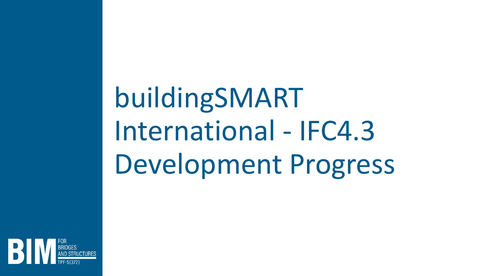buildingSMART International - IFC4.3 Development Progress

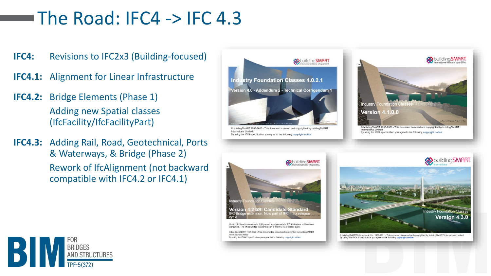### The Road: IFC4  $\rightarrow$  IFC 4.3

- **IFC4:** Revisions to IFC2x3 (Building-focused)
- **IFC4.1:** Alignment for Linear Infrastructure
- **IFC4.2:** Bridge Elements (Phase 1) Adding new Spatial classes (IfcFacility/IfcFacilityPart)
- **IFC4.3:** Adding Rail, Road, Geotechnical, Ports & Waterways, & Bridge (Phase 2) Rework of IfcAlignment (not backward compatible with IFC4.2 or IFC4.1)



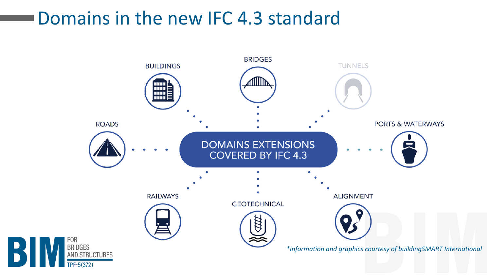### Domains in the new IFC 4.3 standard

 $|B|$ 

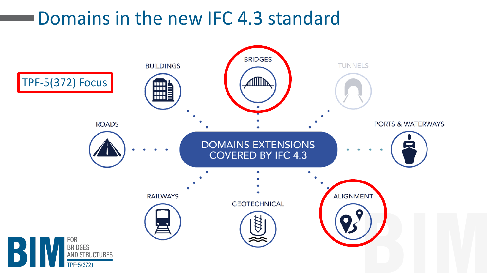### Domains in the new IFC 4.3 standard

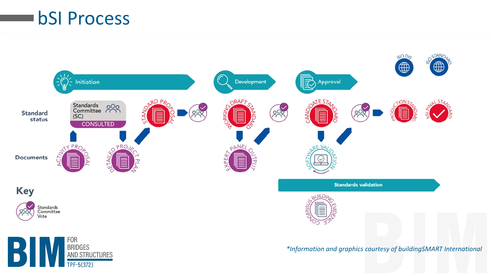#### bSI Process

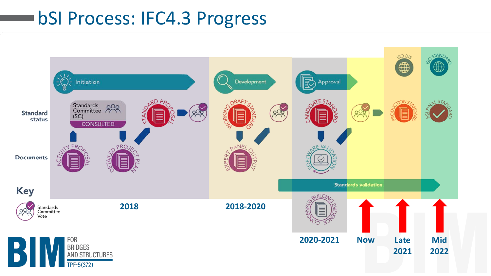#### bSI Process: IFC4.3 Progress

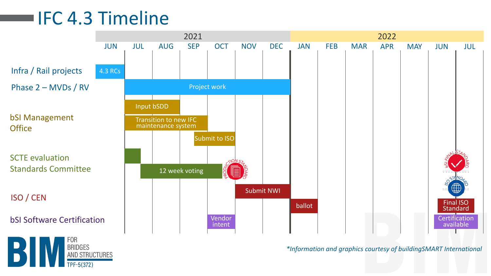## IFC 4.3 Timeline

AND STRUCTURES



*\*Information and graphics courtesy of buildingSMART International*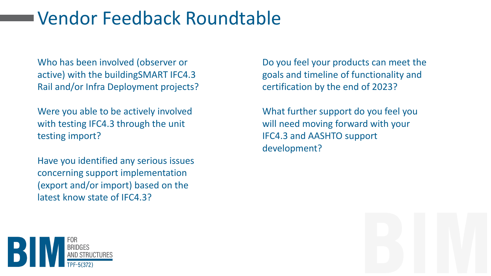### Vendor Feedback Roundtable

Who has been involved (observer or active) with the buildingSMART IFC4.3 Rail and/or Infra Deployment projects?

Were you able to be actively involved with testing IFC4.3 through the unit testing import?

Have you identified any serious issues concerning support implementation (export and/or import) based on the latest know state of IFC4.3?

Do you feel your products can meet the goals and timeline of functionality and certification by the end of 2023?

What further support do you feel you will need moving forward with your IFC4.3 and AASHTO support development?

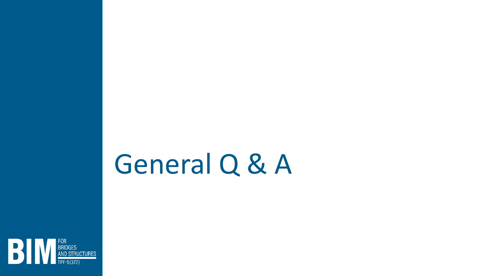# General Q & A